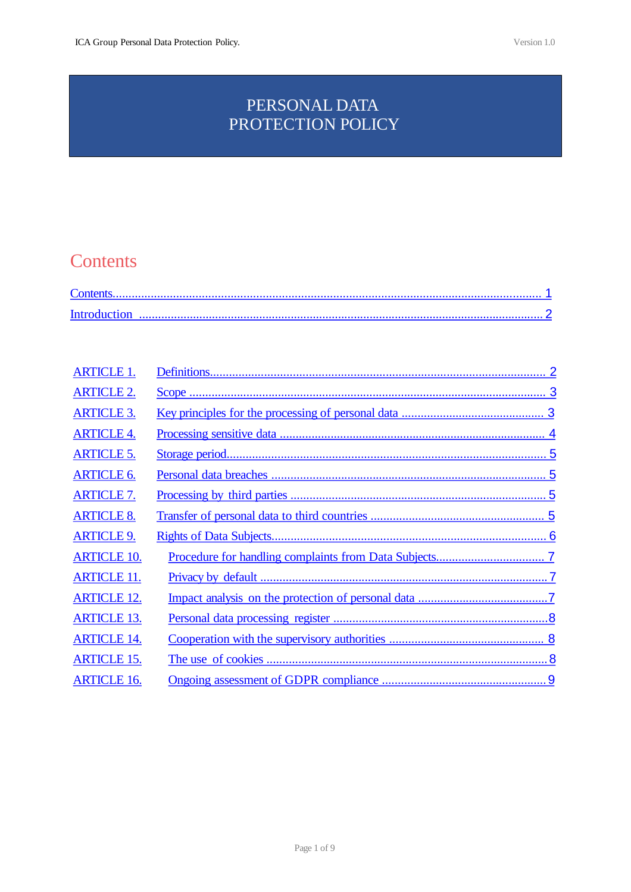# <span id="page-0-0"></span>PERSONAL DATA PROTECTION POLICY

# **Contents**

| <b>ARTICLE 1.</b>  |  |
|--------------------|--|
| <b>ARTICLE 2.</b>  |  |
| <b>ARTICLE 3.</b>  |  |
| <b>ARTICLE 4.</b>  |  |
| <b>ARTICLE 5.</b>  |  |
| <b>ARTICLE 6.</b>  |  |
| <b>ARTICLE 7.</b>  |  |
| <b>ARTICLE 8.</b>  |  |
| <b>ARTICLE 9.</b>  |  |
| <b>ARTICLE 10.</b> |  |
| <b>ARTICLE 11.</b> |  |
| <b>ARTICLE 12.</b> |  |
| <b>ARTICLE 13.</b> |  |
| <b>ARTICLE 14.</b> |  |
| <b>ARTICLE 15.</b> |  |
| <b>ARTICLE 16.</b> |  |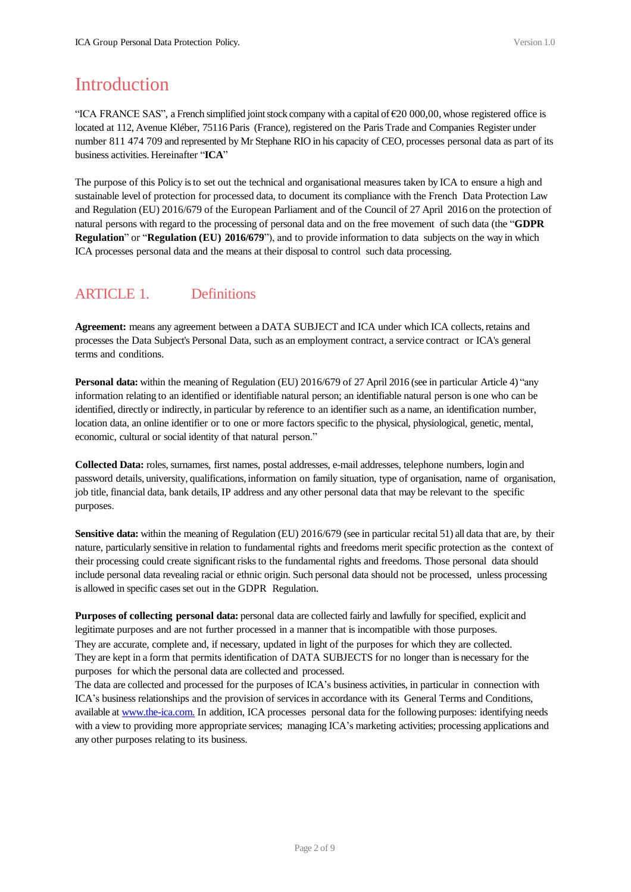# <span id="page-1-0"></span>**Introduction**

"ICA FRANCE SAS", a French simplified joint stock company with a capital of €20 000,00, whose registered office is located at 112, Avenue Kléber, 75116 Paris (France), registered on the Paris Trade and Companies Register under number 811 474 709 and represented by Mr Stephane RIO in his capacity of CEO, processes personal data as part of its business activities. Hereinafter "**ICA**"

The purpose of this Policy is to set out the technical and organisational measures taken by ICA to ensure a high and sustainable level of protection for processed data, to document its compliance with the French Data Protection Law and Regulation (EU) 2016/679 of the European Parliament and of the Council of 27 April 2016 on the protection of natural persons with regard to the processing of personal data and on the free movement of such data (the "**GDPR Regulation**" or "**Regulation** (EU) 2016/679"), and to provide information to data subjects on the way in which ICA processes personal data and the means at their disposal to control such data processing.

# ARTICLE 1. Definitions

**Agreement:** means any agreement between a DATA SUBJECT and ICA under which ICA collects, retains and processes the Data Subject's Personal Data, such as an employment contract, a service contract or ICA's general terms and conditions.

**Personal data:** within the meaning of Regulation (EU) 2016/679 of 27 April 2016 (see in particular Article 4) "any information relating to an identified or identifiable natural person; an identifiable natural person is one who can be identified, directly or indirectly, in particular by reference to an identifier such as a name, an identification number, location data, an online identifier or to one or more factors specific to the physical, physiological, genetic, mental, economic, cultural or social identity of that natural person."

**Collected Data:** roles, surnames, first names, postal addresses, e-mail addresses, telephone numbers, login and password details, university, qualifications, information on family situation, type of organisation, name of organisation, job title, financial data, bank details, IP address and any other personal data that may be relevant to the specific purposes.

**Sensitive data:** within the meaning of Regulation (EU) 2016/679 (see in particular recital 51) all data that are, by their nature, particularly sensitive in relation to fundamental rights and freedoms merit specific protection as the context of their processing could create significant risks to the fundamental rights and freedoms. Those personal data should include personal data revealing racial or ethnic origin. Such personal data should not be processed, unless processing is allowed in specific cases set out in the GDPR Regulation.

**Purposes of collecting personal data:** personal data are collected fairly and lawfully for specified, explicit and legitimate purposes and are not further processed in a manner that is incompatible with those purposes. They are accurate, complete and, if necessary, updated in light of the purposes for which they are collected. They are kept in a form that permits identification of DATA SUBJECTS for no longer than is necessary for the purposes for which the personal data are collected and processed.

The data are collected and processed for the purposes of ICA's business activities, in particular in connection with ICA's business relationships and the provision of services in accordance with its General Terms and Conditions, available at [www.the-ica.com.](http://www.keplercheuvreux.com/) In addition, ICA processes personal data for the following purposes: identifying needs with a view to providing more appropriate services; managing ICA's marketing activities; processing applications and any other purposes relating to its business.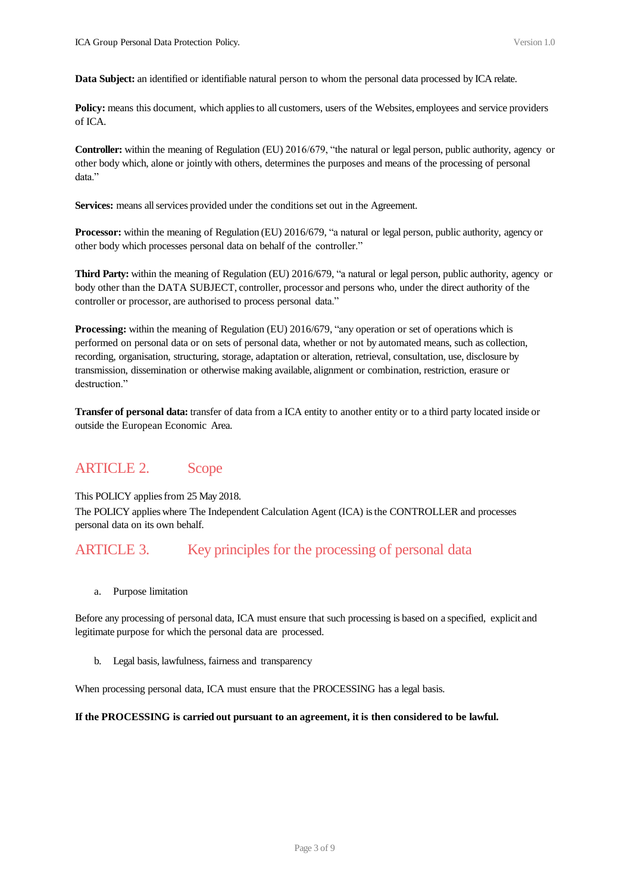<span id="page-2-0"></span>**Data Subject:** an identified or identifiable natural person to whom the personal data processed by ICA relate.

**Policy:** means this document, which applies to all customers, users of the Websites, employees and service providers of ICA.

**Controller:** within the meaning of Regulation (EU) 2016/679, "the natural or legal person, public authority, agency or other body which, alone or jointly with others, determines the purposes and means of the processing of personal data."

Services: means all services provided under the conditions set out in the Agreement.

**Processor:** within the meaning of Regulation (EU) 2016/679, "a natural or legal person, public authority, agency or other body which processes personal data on behalf of the controller."

**Third Party:** within the meaning of Regulation (EU) 2016/679, "a natural or legal person, public authority, agency or body other than the DATA SUBJECT, controller, processor and persons who, under the direct authority of the controller or processor, are authorised to process personal data."

**Processing:** within the meaning of Regulation (EU) 2016/679, "any operation or set of operations which is performed on personal data or on sets of personal data, whether or not by automated means, such as collection, recording, organisation, structuring, storage, adaptation or alteration, retrieval, consultation, use, disclosure by transmission, dissemination or otherwise making available, alignment or combination, restriction, erasure or destruction."

**Transfer of personal data:** transfer of data from a ICA entity to another entity or to a third party located inside or outside the European Economic Area.

### ARTICLE 2. Scope

This POLICY applies from 25 May 2018.

The POLICY applies where The Independent Calculation Agent (ICA) is the CONTROLLER and processes personal data on its own behalf.

### ARTICLE 3. Key principles for the processing of personal data

a. Purpose limitation

Before any processing of personal data, ICA must ensure that such processing is based on a specified, explicit and legitimate purpose for which the personal data are processed.

b. Legal basis, lawfulness, fairness and transparency

When processing personal data, ICA must ensure that the PROCESSING has a legal basis.

#### **If the PROCESSING is carried out pursuant to an agreement, it is then considered to be lawful.**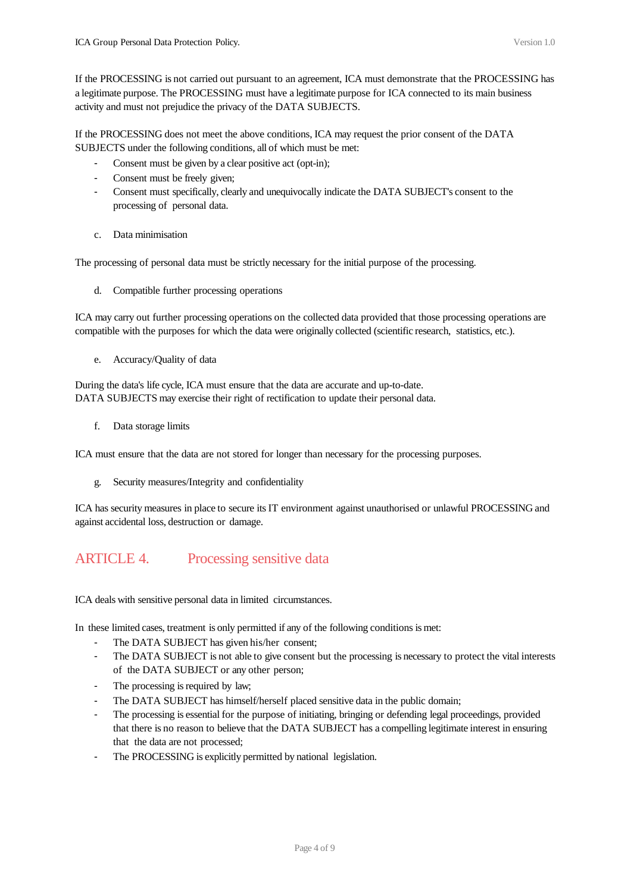<span id="page-3-0"></span>If the PROCESSING does not meet the above conditions, ICA may request the prior consent of the DATA SUBJECTS under the following conditions, all of which must be met:

- Consent must be given by a clear positive act (opt-in);
- Consent must be freely given;
- Consent must specifically, clearly and unequivocally indicate the DATA SUBJECT's consent to the processing of personal data.
- c. Data minimisation

The processing of personal data must be strictly necessary for the initial purpose of the processing.

d. Compatible further processing operations

ICA may carry out further processing operations on the collected data provided that those processing operations are compatible with the purposes for which the data were originally collected (scientific research, statistics, etc.).

e. Accuracy/Quality of data

During the data's life cycle, ICA must ensure that the data are accurate and up-to-date. DATA SUBJECTS may exercise their right of rectification to update their personal data.

f. Data storage limits

ICA must ensure that the data are not stored for longer than necessary for the processing purposes.

g. Security measures/Integrity and confidentiality

ICA has security measures in place to secure its IT environment against unauthorised or unlawful PROCESSING and against accidental loss, destruction or damage.

# ARTICLE 4. Processing sensitive data

ICA deals with sensitive personal data in limited circumstances.

In these limited cases, treatment is only permitted if any of the following conditions is met:

- The DATA SUBJECT has given his/her consent;
- The DATA SUBJECT is not able to give consent but the processing is necessary to protect the vital interests of the DATA SUBJECT or any other person;
- The processing is required by law;
- The DATA SUBJECT has himself/herself placed sensitive data in the public domain;
- The processing is essential for the purpose of initiating, bringing or defending legal proceedings, provided that there is no reason to believe that the DATA SUBJECT has a compelling legitimate interest in ensuring that the data are not processed;
- The PROCESSING is explicitly permitted by national legislation.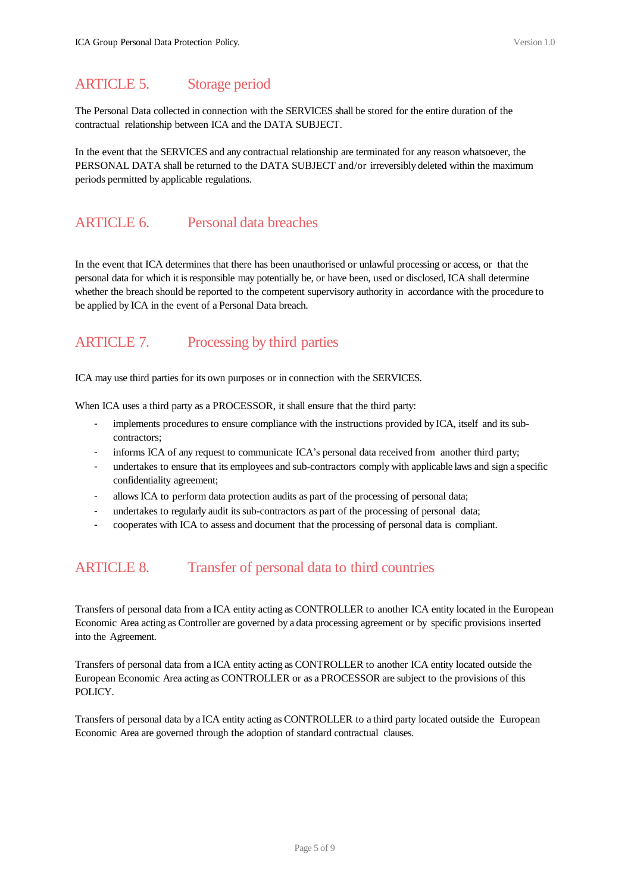### <span id="page-4-0"></span>ARTICLE 5. Storage period

The Personal Data collected in connection with the SERVICES shall be stored for the entire duration of the contractual relationship between ICA and the DATA SUBJECT.

In the event that the SERVICES and any contractual relationship are terminated for any reason whatsoever, the PERSONAL DATA shall be returned to the DATA SUBJECT and/or irreversibly deleted within the maximum periods permitted by applicable regulations.

### ARTICLE 6. Personal data breaches

In the event that ICA determines that there has been unauthorised or unlawful processing or access, or that the personal data for which it is responsible may potentially be, or have been, used or disclosed, ICA shall determine whether the breach should be reported to the competent supervisory authority in accordance with the procedure to be applied by ICA in the event of a Personal Data breach.

## ARTICLE 7. Processing by third parties

ICA may use third parties for its own purposes or in connection with the SERVICES.

When ICA uses a third party as a PROCESSOR, it shall ensure that the third party:

- implements procedures to ensure compliance with the instructions provided by ICA, itself and its subcontractors;
- informs ICA of any request to communicate ICA's personal data received from another third party;
- undertakes to ensure that its employees and sub-contractors comply with applicable laws and sign a specific confidentiality agreement;
- allows ICA to perform data protection audits as part of the processing of personal data;
- undertakes to regularly audit its sub-contractors as part of the processing of personal data;
- cooperates with ICA to assess and document that the processing of personal data is compliant.

### ARTICLE 8. Transfer of personal data to third countries

Transfers of personal data from a ICA entity acting as CONTROLLER to another ICA entity located in the European Economic Area acting as Controller are governed by a data processing agreement or by specific provisions inserted into the Agreement.

Transfers of personal data from a ICA entity acting as CONTROLLER to another ICA entity located outside the European Economic Area acting as CONTROLLER or as a PROCESSOR are subject to the provisions of this POLICY.

Transfers of personal data by a ICA entity acting as CONTROLLER to a third party located outside the European Economic Area are governed through the adoption of standard contractual clauses.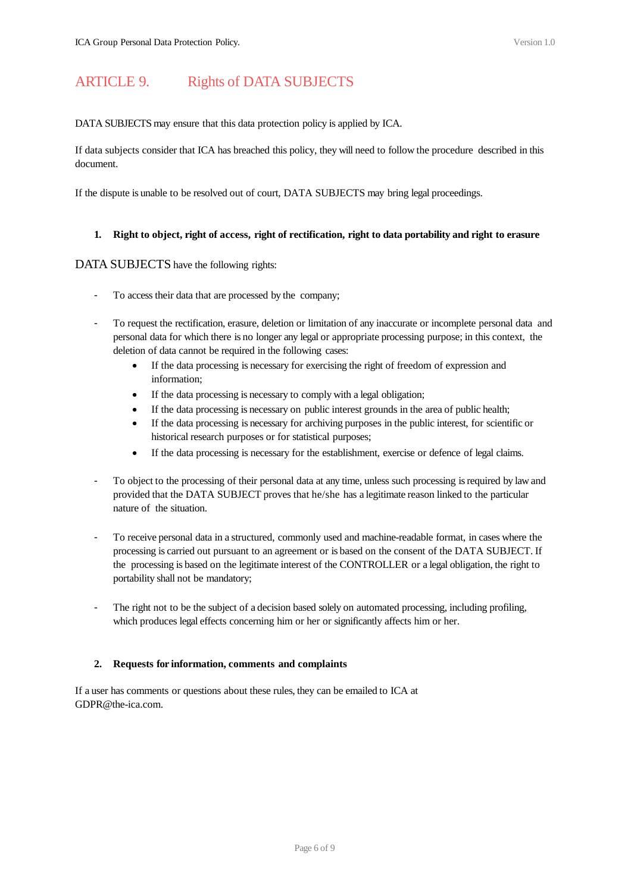### <span id="page-5-0"></span>ARTICLE 9. Rights of DATA SUBJECTS

DATA SUBJECTS may ensure that this data protection policy is applied by ICA.

If data subjects consider that ICA has breached this policy, they will need to follow the procedure described in this document.

If the dispute is unable to be resolved out of court, DATA SUBJECTS may bring legal proceedings.

#### **1. Right to object, right of access, right of rectification, right to data portability and right to erasure**

#### DATA SUBJECTS have the following rights:

- To access their data that are processed by the company;
- To request the rectification, erasure, deletion or limitation of any inaccurate or incomplete personal data and personal data for which there is no longer any legal or appropriate processing purpose; in this context, the deletion of data cannot be required in the following cases:
	- If the data processing is necessary for exercising the right of freedom of expression and information;
	- If the data processing is necessary to comply with a legal obligation;
	- If the data processing is necessary on public interest grounds in the area of public health;
	- If the data processing is necessary for archiving purposes in the public interest, for scientific or historical research purposes or for statistical purposes;
	- If the data processing is necessary for the establishment, exercise or defence of legal claims.
- To object to the processing of their personal data at any time, unless such processing is required by law and provided that the DATA SUBJECT proves that he/she has a legitimate reason linked to the particular nature of the situation.
- To receive personal data in a structured, commonly used and machine-readable format, in cases where the processing is carried out pursuant to an agreement or is based on the consent of the DATA SUBJECT. If the processing is based on the legitimate interest of the CONTROLLER or a legal obligation, the right to portability shall not be mandatory;
- The right not to be the subject of a decision based solely on automated processing, including profiling, which produces legal effects concerning him or her or significantly affects him or her.

#### **2. Requests for information, comments and complaints**

If a user has comments or questions about these rules, they can be emailed to ICA at GDPR@the-ica.com.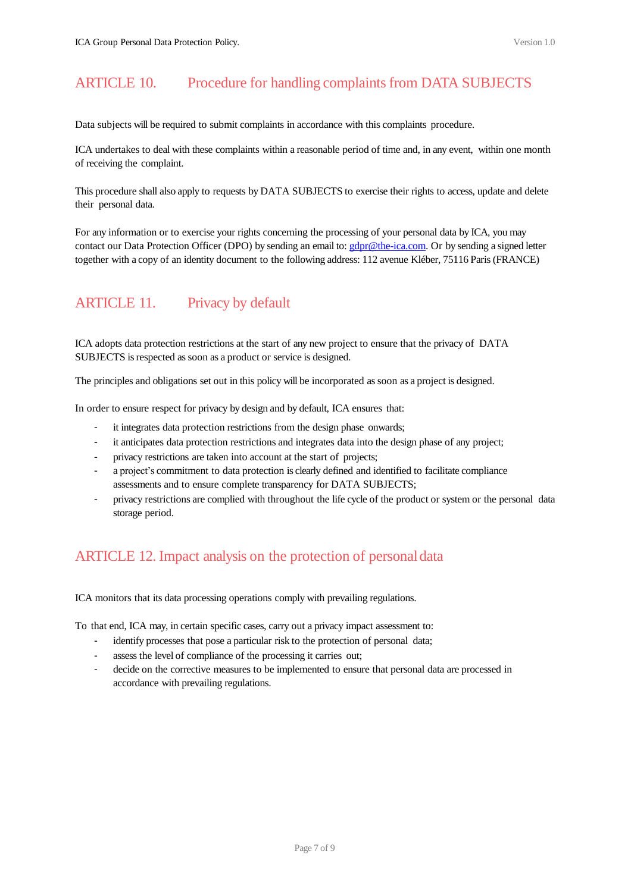## <span id="page-6-0"></span>ARTICLE 10. Procedure for handling complaints from DATA SUBJECTS

Data subjects will be required to submit complaints in accordance with this complaints procedure.

ICA undertakes to deal with these complaints within a reasonable period of time and, in any event, within one month of receiving the complaint.

This procedure shall also apply to requests by DATA SUBJECTS to exercise their rights to access, update and delete their personal data.

For any information or to exercise your rights concerning the processing of your personal data by ICA, you may contact our Data Protection Officer (DPO) by sending an email to: [gdpr@the-ica.com.](mailto:gdpr@the-ica.com) Or by sending a signed letter together with a copy of an identity document to the following address: 112 avenue Kléber, 75116 Paris (FRANCE)

# ARTICLE 11. Privacy by default

ICA adopts data protection restrictions at the start of any new project to ensure that the privacy of DATA SUBJECTS is respected as soon as a product or service is designed.

The principles and obligations set out in this policy will be incorporated as soon as a project is designed.

In order to ensure respect for privacy by design and by default, ICA ensures that:

- it integrates data protection restrictions from the design phase onwards;
- it anticipates data protection restrictions and integrates data into the design phase of any project;
- privacy restrictions are taken into account at the start of projects;
- a project's commitment to data protection is clearly defined and identified to facilitate compliance assessments and to ensure complete transparency for DATA SUBJECTS;
- privacy restrictions are complied with throughout the life cycle of the product or system or the personal data storage period.

# ARTICLE 12. Impact analysis on the protection of personaldata

ICA monitors that its data processing operations comply with prevailing regulations.

To that end, ICA may, in certain specific cases, carry out a privacy impact assessment to:

- identify processes that pose a particular risk to the protection of personal data;
- assess the level of compliance of the processing it carries out;
- decide on the corrective measures to be implemented to ensure that personal data are processed in accordance with prevailing regulations.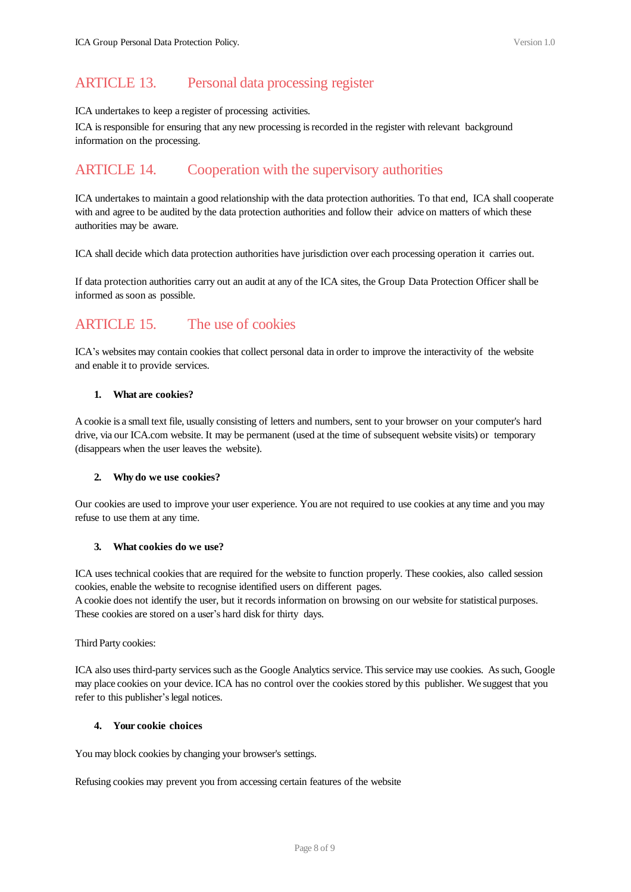## <span id="page-7-0"></span>ARTICLE 13. Personal data processing register

#### ICA undertakes to keep a register of processing activities.

ICA is responsible for ensuring that any new processing is recorded in the register with relevant background information on the processing.

### ARTICLE 14. Cooperation with the supervisory authorities

ICA undertakes to maintain a good relationship with the data protection authorities. To that end, ICA shall cooperate with and agree to be audited by the data protection authorities and follow their advice on matters of which these authorities may be aware.

ICA shall decide which data protection authorities have jurisdiction over each processing operation it carries out.

If data protection authorities carry out an audit at any of the ICA sites, the Group Data Protection Officer shall be informed as soon as possible.

# ARTICLE 15. The use of cookies

ICA's websites may contain cookies that collect personal data in order to improve the interactivity of the website and enable it to provide services.

#### **1. What are cookies?**

A cookie is a small text file, usually consisting of letters and numbers, sent to your browser on your computer's hard drive, via our ICA.com website. It may be permanent (used at the time of subsequent website visits) or temporary (disappears when the user leaves the website).

#### **2. Why do we use cookies?**

Our cookies are used to improve your user experience. You are not required to use cookies at any time and you may refuse to use them at any time.

#### **3. What cookies do we use?**

ICA uses technical cookies that are required for the website to function properly. These cookies, also called session cookies, enable the website to recognise identified users on different pages.

A cookie does not identify the user, but it records information on browsing on our website for statistical purposes. These cookies are stored on a user's hard disk for thirty days.

Third Party cookies:

ICA also uses third-party services such as the Google Analytics service. This service may use cookies. As such, Google may place cookies on your device. ICA has no control over the cookies stored by this publisher. We suggest that you refer to this publisher's legal notices.

#### **4. Your cookie choices**

You may block cookies by changing your browser's settings.

Refusing cookies may prevent you from accessing certain features of the website